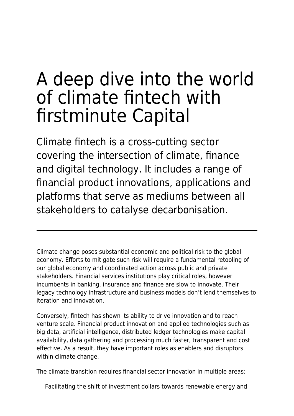# A deep dive into the world of climate fintech with firstminute Capital

Climate fintech is a cross-cutting sector covering the intersection of climate, finance and digital technology. It includes a range of financial product innovations, applications and platforms that serve as mediums between all stakeholders to catalyse decarbonisation.

Climate change poses substantial economic and political risk to the global economy. Efforts to mitigate such risk will require a fundamental retooling of our global economy and coordinated action across public and private stakeholders. Financial services institutions play critical roles, however incumbents in banking, insurance and finance are slow to innovate. Their legacy technology infrastructure and business models don't lend themselves to iteration and innovation.

Conversely, fintech has shown its ability to drive innovation and to reach venture scale. Financial product innovation and applied technologies such as big data, artificial intelligence, distributed ledger technologies make capital availability, data gathering and processing much faster, transparent and cost effective. As a result, they have important roles as enablers and disruptors within climate change.

The climate transition requires financial sector innovation in multiple areas:

Facilitating the shift of investment dollars towards renewable energy and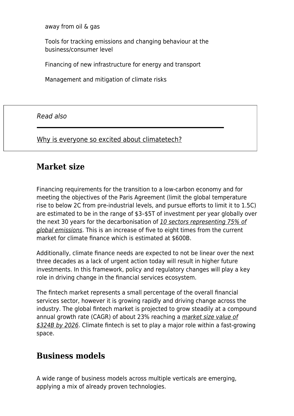away from oil & gas

Tools for tracking emissions and changing behaviour at the business/consumer level

Financing of new infrastructure for energy and transport

Management and mitigation of climate risks

Read also

[Why is everyone so excited about climatetech?](https://www.maddyness.com/uk/2022/02/07/why-is-everyone-so-excited-about-climatetech/)

### **Market size**

Financing requirements for the transition to a low-carbon economy and for meeting the objectives of the Paris Agreement (limit the global temperature rise to below 2C from pre-industrial levels, and pursue efforts to limit it to 1.5C) are estimated to be in the range of \$3–\$5T of investment per year globally over the next 30 years for the decarbonisation of [10 sectors representing 75% of](https://www.sifma.org/wp-content/uploads/2020/12/Climate-Finance-Markets-and-the-Real-Economy.pdf) [global emissions](https://www.sifma.org/wp-content/uploads/2020/12/Climate-Finance-Markets-and-the-Real-Economy.pdf). This is an increase of five to eight times from the current market for climate finance which is estimated at \$600B.

Additionally, climate finance needs are expected to not be linear over the next three decades as a lack of urgent action today will result in higher future investments. In this framework, policy and regulatory changes will play a key role in driving change in the financial services ecosystem.

The fintech market represents a small percentage of the overall financial services sector, however it is growing rapidly and driving change across the industry. The global fintech market is projected to grow steadily at a compound annual growth rate (CAGR) of about 23% reaching a [market size value of](https://www.marketdataforecast.com/market-reports/fintech-market) [\\$324B by 2026](https://www.marketdataforecast.com/market-reports/fintech-market). Climate fintech is set to play a major role within a fast-growing space.

## **Business models**

A wide range of business models across multiple verticals are emerging, applying a mix of already proven technologies.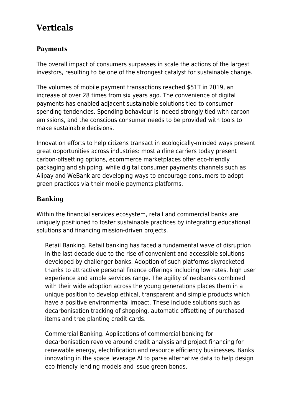# **Verticals**

#### **Payments**

The overall impact of consumers surpasses in scale the actions of the largest investors, resulting to be one of the strongest catalyst for sustainable change.

The volumes of mobile payment transactions reached \$51T in 2019, an increase of over 28 times from six years ago. The convenience of digital payments has enabled adjacent sustainable solutions tied to consumer spending tendencies. Spending behaviour is indeed strongly tied with carbon emissions, and the conscious consumer needs to be provided with tools to make sustainable decisions.

Innovation efforts to help citizens transact in ecologically-minded ways present great opportunities across industries: most airline carriers today present carbon-offsetting options, ecommerce marketplaces offer eco-friendly packaging and shipping, while digital consumer payments channels such as Alipay and WeBank are developing ways to encourage consumers to adopt green practices via their mobile payments platforms.

#### **Banking**

Within the financial services ecosystem, retail and commercial banks are uniquely positioned to foster sustainable practices by integrating educational solutions and financing mission-driven projects.

Retail Banking. Retail banking has faced a fundamental wave of disruption in the last decade due to the rise of convenient and accessible solutions developed by challenger banks. Adoption of such platforms skyrocketed thanks to attractive personal finance offerings including low rates, high user experience and ample services range. The agility of neobanks combined with their wide adoption across the young generations places them in a unique position to develop ethical, transparent and simple products which have a positive environmental impact. These include solutions such as decarbonisation tracking of shopping, automatic offsetting of purchased items and tree planting credit cards.

Commercial Banking. Applications of commercial banking for decarbonisation revolve around credit analysis and project financing for renewable energy, electrification and resource efficiency businesses. Banks innovating in the space leverage AI to parse alternative data to help design eco-friendly lending models and issue green bonds.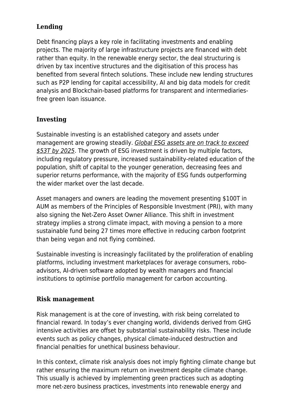#### **Lending**

Debt financing plays a key role in facilitating investments and enabling projects. The majority of large infrastructure projects are financed with debt rather than equity. In the renewable energy sector, the deal structuring is driven by tax incentive structures and the digitisation of this process has benefited from several fintech solutions. These include new lending structures such as P2P lending for capital accessibility, AI and big data models for credit analysis and Blockchain-based platforms for transparent and intermediariesfree green loan issuance.

#### **Investing**

Sustainable investing is an established category and assets under management are growing steadily. [Global ESG assets are on track to exceed](https://rise.barclays/content/dam/thinkrise-com/documents/Rise-FinTech-Insights-climate-fintech-2021-DIGITAL.pdf) [\\$53T by 2025](https://rise.barclays/content/dam/thinkrise-com/documents/Rise-FinTech-Insights-climate-fintech-2021-DIGITAL.pdf). The growth of ESG investment is driven by multiple factors, including regulatory pressure, increased sustainability-related education of the population, shift of capital to the younger generation, decreasing fees and superior returns performance, with the majority of ESG funds outperforming the wider market over the last decade.

Asset managers and owners are leading the movement presenting \$100T in AUM as members of the Principles of Responsible Investment (PRI), with many also signing the Net-Zero Asset Owner Alliance. This shift in investment strategy implies a strong climate impact, with moving a pension to a more sustainable fund being 27 times more effective in reducing carbon footprint than being vegan and not flying combined.

Sustainable investing is increasingly facilitated by the proliferation of enabling platforms, including investment marketplaces for average consumers, roboadvisors, AI-driven software adopted by wealth managers and financial institutions to optimise portfolio management for carbon accounting.

#### **Risk management**

Risk management is at the core of investing, with risk being correlated to financial reward. In today's ever changing world, dividends derived from GHG intensive activities are offset by substantial sustainability risks. These include events such as policy changes, physical climate-induced destruction and financial penalties for unethical business behaviour.

In this context, climate risk analysis does not imply fighting climate change but rather ensuring the maximum return on investment despite climate change. This usually is achieved by implementing green practices such as adopting more net-zero business practices, investments into renewable energy and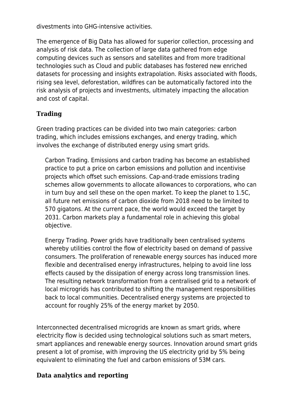divestments into GHG-intensive activities.

The emergence of Big Data has allowed for superior collection, processing and analysis of risk data. The collection of large data gathered from edge computing devices such as sensors and satellites and from more traditional technologies such as Cloud and public databases has fostered new enriched datasets for processing and insights extrapolation. Risks associated with floods, rising sea level, deforestation, wildfires can be automatically factored into the risk analysis of projects and investments, ultimately impacting the allocation and cost of capital.

#### **Trading**

Green trading practices can be divided into two main categories: carbon trading, which includes emissions exchanges, and energy trading, which involves the exchange of distributed energy using smart grids.

Carbon Trading. Emissions and carbon trading has become an established practice to put a price on carbon emissions and pollution and incentivise projects which offset such emissions. Cap-and-trade emissions trading schemes allow governments to allocate allowances to corporations, who can in turn buy and sell these on the open market. To keep the planet to 1.5C, all future net emissions of carbon dioxide from 2018 need to be limited to 570 gigatons. At the current pace, the world would exceed the target by 2031. Carbon markets play a fundamental role in achieving this global objective.

Energy Trading. Power grids have traditionally been centralised systems whereby utilities control the flow of electricity based on demand of passive consumers. The proliferation of renewable energy sources has induced more flexible and decentralised energy infrastructures, helping to avoid line loss effects caused by the dissipation of energy across long transmission lines. The resulting network transformation from a centralised grid to a network of local microgrids has contributed to shifting the management responsibilities back to local communities. Decentralised energy systems are projected to account for roughly 25% of the energy market by 2050.

Interconnected decentralised microgrids are known as smart grids, where electricity flow is decided using technological solutions such as smart meters, smart appliances and renewable energy sources. Innovation around smart grids present a lot of promise, with improving the US electricity grid by 5% being equivalent to eliminating the fuel and carbon emissions of 53M cars.

#### **Data analytics and reporting**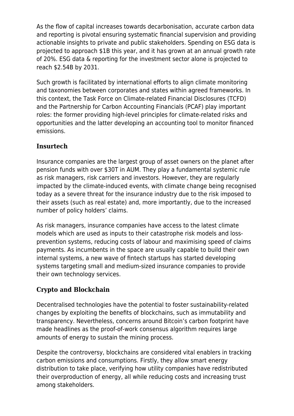As the flow of capital increases towards decarbonisation, accurate carbon data and reporting is pivotal ensuring systematic financial supervision and providing actionable insights to private and public stakeholders. Spending on ESG data is projected to approach \$1B this year, and it has grown at an annual growth rate of 20%. ESG data & reporting for the investment sector alone is projected to reach \$2.54B by 2031.

Such growth is facilitated by international efforts to align climate monitoring and taxonomies between corporates and states within agreed frameworks. In this context, the Task Force on Climate-related Financial Disclosures (TCFD) and the Partnership for Carbon Accounting Financials (PCAF) play important roles: the former providing high-level principles for climate-related risks and opportunities and the latter developing an accounting tool to monitor financed emissions.

#### **Insurtech**

Insurance companies are the largest group of asset owners on the planet after pension funds with over \$30T in AUM. They play a fundamental systemic rule as risk managers, risk carriers and investors. However, they are regularly impacted by the climate-induced events, with climate change being recognised today as a severe threat for the insurance industry due to the risk imposed to their assets (such as real estate) and, more importantly, due to the increased number of policy holders' claims.

As risk managers, insurance companies have access to the latest climate models which are used as inputs to their catastrophe risk models and lossprevention systems, reducing costs of labour and maximising speed of claims payments. As incumbents in the space are usually capable to build their own internal systems, a new wave of fintech startups has started developing systems targeting small and medium-sized insurance companies to provide their own technology services.

#### **Crypto and Blockchain**

Decentralised technologies have the potential to foster sustainability-related changes by exploiting the benefits of blockchains, such as immutability and transparency. Nevertheless, concerns around Bitcoin's carbon footprint have made headlines as the proof-of-work consensus algorithm requires large amounts of energy to sustain the mining process.

Despite the controversy, blockchains are considered vital enablers in tracking carbon emissions and consumptions. Firstly, they allow smart energy distribution to take place, verifying how utility companies have redistributed their overproduction of energy, all while reducing costs and increasing trust among stakeholders.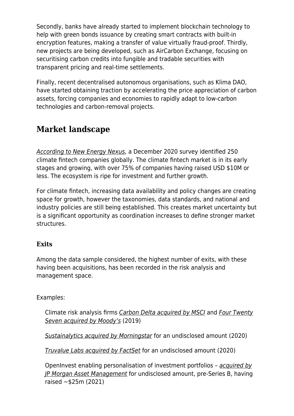Secondly, banks have already started to implement blockchain technology to help with green bonds issuance by creating smart contracts with built-in encryption features, making a transfer of value virtually fraud-proof. Thirdly, new projects are being developed, such as AirCarbon Exchange, focusing on securitising carbon credits into fungible and tradable securities with transparent pricing and real-time settlements.

Finally, recent decentralised autonomous organisations, such as Klima DAO, have started obtaining traction by accelerating the price appreciation of carbon assets, forcing companies and economies to rapidly adapt to low-carbon technologies and carbon-removal projects.

## **Market landscape**

[According to New Energy Nexus,](https://www.newenergynexus.com/climate-fintech-report/) a December 2020 survey identified 250 climate fintech companies globally. The climate fintech market is in its early stages and growing, with over 75% of companies having raised USD \$10M or less. The ecosystem is ripe for investment and further growth.

For climate fintech, increasing data availability and policy changes are creating space for growth, however the taxonomies, data standards, and national and industry policies are still being established. This creates market uncertainty but is a significant opportunity as coordination increases to define stronger market structures.

#### **Exits**

Among the data sample considered, the highest number of exits, with these having been acquisitions, has been recorded in the risk analysis and management space.

#### Examples:

Climate risk analysis firms [Carbon Delta acquired by MSCI](https://ir.msci.com/news-releases/news-release-details/msci-strengthen-climate-risk-capability-acquisition-carbon-delta) and [Four Twenty](https://www.businesswire.com/news/home/20190724005169/en/Moody%E2%80%99s-Acquires-Majority-Stake-in-Four-Twenty-Seven-Inc.-a-Leader-in-Climate-Data-and-Risk-Analysis) [Seven acquired by Moody's](https://www.businesswire.com/news/home/20190724005169/en/Moody%E2%80%99s-Acquires-Majority-Stake-in-Four-Twenty-Seven-Inc.-a-Leader-in-Climate-Data-and-Risk-Analysis) (2019)

[Sustainalytics acquired by Morningstar](https://www.finextra.com/pressarticle/82276/morningstar-to-acquire-sustainanalytics) for an undisclosed amount (2020)

[Truvalue Labs acquired by FactSet](https://investor.factset.com/news-releases/news-release-details/factset-enters-agreement-acquire-truvalue-labs) for an undisclosed amount (2020)

OpenInvest enabling personalisation of investment portfolios – [acquired by](https://www.reuters.com/technology/jpmorgan-acquire-fintech-startup-openinvest-2021-06-29/) [JP Morgan Asset Management](https://www.reuters.com/technology/jpmorgan-acquire-fintech-startup-openinvest-2021-06-29/) for undisclosed amount, pre-Series B, having raised ~\$25m (2021)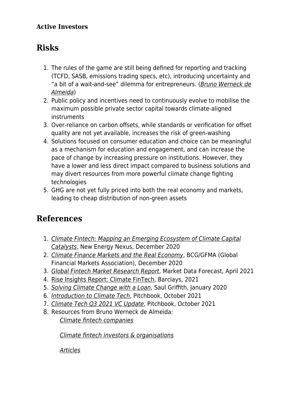#### **Active Investors**

# **Risks**

- 1. The rules of the game are still being defined for reporting and tracking (TCFD, SASB, emissions trading specs, etc), introducing uncertainty and "a bit of a wait-and-see" dilemma for entrepreneurs. ([Bruno Werneck de](https://twitter.com/brunoswerneck/status/1344313386431987713) [Almeida](https://twitter.com/brunoswerneck/status/1344313386431987713))
- 2. Public policy and incentives need to continuously evolve to mobilise the maximum possible private sector capital towards climate-aligned instruments
- 3. Over-reliance on carbon offsets, while standards or verification for offset quality are not yet available, increases the risk of green-washing
- 4. Solutions focused on consumer education and choice can be meaningful as a mechanism for education and engagement, and can increase the pace of change by increasing pressure on institutions. However, they have a lower and less direct impact compared to business solutions and may divert resources from more powerful climate change fighting technologies
- 5. GHG are not yet fully priced into both the real economy and markets, leading to cheap distribution of non-green assets

# **References**

- 1. [Climate Fintech: Mapping an Emerging Ecosystem of Climate Capital](https://www.newenergynexus.com/wp-content/uploads/2021/01/New-Energy-Nexus-Climate-Fintech-Report.pdf) [Catalysts](https://www.newenergynexus.com/wp-content/uploads/2021/01/New-Energy-Nexus-Climate-Fintech-Report.pdf), New Energy Nexus, December 2020
- 2. [Climate Finance Markets and the Real Economy](https://www.sifma.org/wp-content/uploads/2020/12/Climate-Finance-Markets-and-the-Real-Economy.pdf), BCG/GFMA (Global Financial Markets Association), December 2020
- 3. [Global Fintech Market Research Report](https://www.marketdataforecast.com/market-reports/fintech-market), Market Data Forecast, April 2021
- 4. [Rise Insights Report: Climate FinTech,](https://rise.barclays/content/dam/thinkrise-com/documents/Rise-FinTech-Insights-climate-fintech-2021-DIGITAL.pdf) Barclays, 2021
- 5. [Solving Climate Change with a Loan](https://medium.com/otherlab-news/solving-climate-change-with-a-loan-d1aac4b8259a), Saul Griffith, January 2020
- 6. [Introduction to Climate Tech](https://files.pitchbook.com/website/files/pdf/PitchBook_2021_Introduction_to_Climate_Tech_A_Taxonomy_Overview_1004.pdf#page=1), Pitchbook, October 2021
- 7. [Climate Tech Q3 2021 VC Update](https://files.pitchbook.com/website/files/pdf/Q3_2021_Emerging_Tech_Research_Climate_Tech_1002.pdf#page=1), Pitchbook, October 2021
- 8. Resources from Bruno Werneck de Almeida: [Climate fintech companies](https://airtable.com/shryxRKtLCLHO2zmQ/tbl4U9LVtV8wSOXEI)

[Climate fintech investors & organisations](https://airtable.com/shrsof4nUF0ULVvX3/tbltepQl5CmU6b2F6)

[Articles](https://drive.google.com/drive/folders/1r2baIvm8LHp2wrR5I714jp4ua2ckouhi)